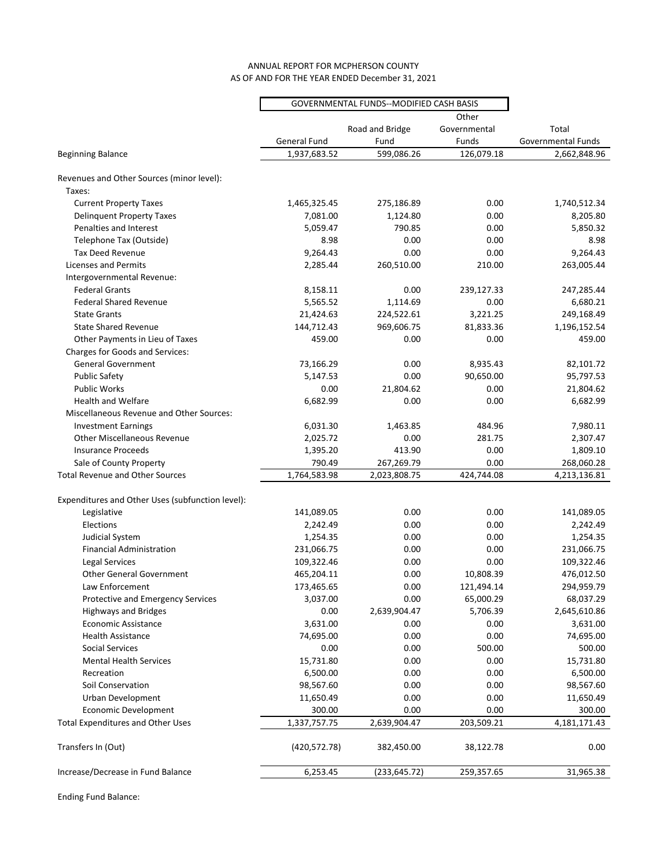## AS OF AND FOR THE YEAR ENDED December 31, 2021 ANNUAL REPORT FOR MCPHERSON COUNTY

| Other<br>Road and Bridge<br>Governmental<br>Total<br>General Fund<br>Fund<br>Funds<br>Governmental Funds<br>1,937,683.52<br>599,086.26<br>126,079.18<br>2,662,848.96<br><b>Beginning Balance</b><br>Revenues and Other Sources (minor level):<br>Taxes:<br><b>Current Property Taxes</b><br>1,465,325.45<br>0.00<br>1,740,512.34<br>275,186.89<br><b>Delinquent Property Taxes</b><br>7,081.00<br>1,124.80<br>0.00<br>8,205.80<br>Penalties and Interest<br>5,059.47<br>790.85<br>0.00<br>5,850.32<br>Telephone Tax (Outside)<br>8.98<br>0.00<br>0.00<br>8.98<br><b>Tax Deed Revenue</b><br>9,264.43<br>0.00<br>0.00<br>9,264.43<br><b>Licenses and Permits</b><br>2,285.44<br>260,510.00<br>210.00<br>263,005.44<br>Intergovernmental Revenue:<br><b>Federal Grants</b><br>8,158.11<br>0.00<br>239,127.33<br>247,285.44<br><b>Federal Shared Revenue</b><br>5,565.52<br>1,114.69<br>0.00<br>6,680.21<br><b>State Grants</b><br>21,424.63<br>224,522.61<br>3,221.25<br>249,168.49<br><b>State Shared Revenue</b><br>144,712.43<br>969,606.75<br>81,833.36<br>1,196,152.54<br>459.00<br>0.00<br>459.00<br>0.00<br>Other Payments in Lieu of Taxes<br>Charges for Goods and Services:<br><b>General Government</b><br>73,166.29<br>0.00<br>8,935.43<br>82,101.72<br><b>Public Safety</b><br>5,147.53<br>0.00<br>90,650.00<br>95,797.53<br><b>Public Works</b><br>21,804.62<br>0.00<br>21,804.62<br>0.00<br>0.00<br>6,682.99<br><b>Health and Welfare</b><br>6,682.99<br>0.00<br><b>Miscellaneous Revenue and Other Sources:</b><br><b>Investment Earnings</b><br>6,031.30<br>484.96<br>7,980.11<br>1,463.85<br><b>Other Miscellaneous Revenue</b><br>2,025.72<br>0.00<br>281.75<br>2,307.47<br>0.00<br><b>Insurance Proceeds</b><br>1,395.20<br>413.90<br>1,809.10<br>Sale of County Property<br>790.49<br>267,269.79<br>0.00<br>268,060.28<br><b>Total Revenue and Other Sources</b><br>1,764,583.98<br>424,744.08<br>2,023,808.75<br>4,213,136.81<br>Expenditures and Other Uses (subfunction level):<br>141,089.05<br>0.00<br>0.00<br>141,089.05<br>Legislative<br>0.00<br>Elections<br>2,242.49<br>0.00<br>2,242.49<br>Judicial System<br>1,254.35<br>0.00<br>0.00<br>1,254.35<br><b>Financial Administration</b><br>231,066.75<br>0.00<br>0.00<br>231,066.75<br>Legal Services<br>109,322.46<br>0.00<br>0.00<br>109,322.46<br><b>Other General Government</b><br>465,204.11<br>0.00<br>10,808.39<br>476,012.50<br>173,465.65<br>0.00<br>294,959.79<br>Law Enforcement<br>121,494.14<br>3,037.00<br>0.00<br>65,000.29<br>68,037.29<br>Protective and Emergency Services<br><b>Highways and Bridges</b><br>2,639,904.47<br>5,706.39<br>2,645,610.86<br>0.00<br><b>Economic Assistance</b><br>3,631.00<br>0.00<br>0.00<br>3,631.00<br><b>Health Assistance</b><br>74,695.00<br>0.00<br>0.00<br>74,695.00<br>0.00<br>0.00<br>500.00<br>500.00<br>Social Services<br><b>Mental Health Services</b><br>15,731.80<br>0.00<br>0.00<br>15,731.80<br>6,500.00<br>0.00<br>0.00<br>6,500.00<br>Recreation<br>Soil Conservation<br>98,567.60<br>0.00<br>0.00<br>98,567.60<br>Urban Development<br>11,650.49<br>0.00<br>0.00<br>11,650.49<br><b>Economic Development</b><br>300.00<br>0.00<br>0.00<br>300.00<br><b>Total Expenditures and Other Uses</b><br>1,337,757.75<br>2,639,904.47<br>203,509.21<br>4,181,171.43<br>Transfers In (Out)<br>0.00<br>(420, 572.78)<br>382,450.00<br>38,122.78<br>Increase/Decrease in Fund Balance<br>6,253.45<br>(233, 645.72)<br>259,357.65<br>31,965.38 | GOVERNMENTAL FUNDS--MODIFIED CASH BASIS |  |  |  |
|------------------------------------------------------------------------------------------------------------------------------------------------------------------------------------------------------------------------------------------------------------------------------------------------------------------------------------------------------------------------------------------------------------------------------------------------------------------------------------------------------------------------------------------------------------------------------------------------------------------------------------------------------------------------------------------------------------------------------------------------------------------------------------------------------------------------------------------------------------------------------------------------------------------------------------------------------------------------------------------------------------------------------------------------------------------------------------------------------------------------------------------------------------------------------------------------------------------------------------------------------------------------------------------------------------------------------------------------------------------------------------------------------------------------------------------------------------------------------------------------------------------------------------------------------------------------------------------------------------------------------------------------------------------------------------------------------------------------------------------------------------------------------------------------------------------------------------------------------------------------------------------------------------------------------------------------------------------------------------------------------------------------------------------------------------------------------------------------------------------------------------------------------------------------------------------------------------------------------------------------------------------------------------------------------------------------------------------------------------------------------------------------------------------------------------------------------------------------------------------------------------------------------------------------------------------------------------------------------------------------------------------------------------------------------------------------------------------------------------------------------------------------------------------------------------------------------------------------------------------------------------------------------------------------------------------------------------------------------------------------------------------------------------------------------------------------------------------------------------------------------------------------------------------------------------------------------------------------------------------------------------------------------------------------------------------------------------------------------------------------------------------------------------------------------------------------------------------------------------|-----------------------------------------|--|--|--|
|                                                                                                                                                                                                                                                                                                                                                                                                                                                                                                                                                                                                                                                                                                                                                                                                                                                                                                                                                                                                                                                                                                                                                                                                                                                                                                                                                                                                                                                                                                                                                                                                                                                                                                                                                                                                                                                                                                                                                                                                                                                                                                                                                                                                                                                                                                                                                                                                                                                                                                                                                                                                                                                                                                                                                                                                                                                                                                                                                                                                                                                                                                                                                                                                                                                                                                                                                                                                                                                                                    |                                         |  |  |  |
|                                                                                                                                                                                                                                                                                                                                                                                                                                                                                                                                                                                                                                                                                                                                                                                                                                                                                                                                                                                                                                                                                                                                                                                                                                                                                                                                                                                                                                                                                                                                                                                                                                                                                                                                                                                                                                                                                                                                                                                                                                                                                                                                                                                                                                                                                                                                                                                                                                                                                                                                                                                                                                                                                                                                                                                                                                                                                                                                                                                                                                                                                                                                                                                                                                                                                                                                                                                                                                                                                    |                                         |  |  |  |
|                                                                                                                                                                                                                                                                                                                                                                                                                                                                                                                                                                                                                                                                                                                                                                                                                                                                                                                                                                                                                                                                                                                                                                                                                                                                                                                                                                                                                                                                                                                                                                                                                                                                                                                                                                                                                                                                                                                                                                                                                                                                                                                                                                                                                                                                                                                                                                                                                                                                                                                                                                                                                                                                                                                                                                                                                                                                                                                                                                                                                                                                                                                                                                                                                                                                                                                                                                                                                                                                                    |                                         |  |  |  |
|                                                                                                                                                                                                                                                                                                                                                                                                                                                                                                                                                                                                                                                                                                                                                                                                                                                                                                                                                                                                                                                                                                                                                                                                                                                                                                                                                                                                                                                                                                                                                                                                                                                                                                                                                                                                                                                                                                                                                                                                                                                                                                                                                                                                                                                                                                                                                                                                                                                                                                                                                                                                                                                                                                                                                                                                                                                                                                                                                                                                                                                                                                                                                                                                                                                                                                                                                                                                                                                                                    |                                         |  |  |  |
|                                                                                                                                                                                                                                                                                                                                                                                                                                                                                                                                                                                                                                                                                                                                                                                                                                                                                                                                                                                                                                                                                                                                                                                                                                                                                                                                                                                                                                                                                                                                                                                                                                                                                                                                                                                                                                                                                                                                                                                                                                                                                                                                                                                                                                                                                                                                                                                                                                                                                                                                                                                                                                                                                                                                                                                                                                                                                                                                                                                                                                                                                                                                                                                                                                                                                                                                                                                                                                                                                    |                                         |  |  |  |
|                                                                                                                                                                                                                                                                                                                                                                                                                                                                                                                                                                                                                                                                                                                                                                                                                                                                                                                                                                                                                                                                                                                                                                                                                                                                                                                                                                                                                                                                                                                                                                                                                                                                                                                                                                                                                                                                                                                                                                                                                                                                                                                                                                                                                                                                                                                                                                                                                                                                                                                                                                                                                                                                                                                                                                                                                                                                                                                                                                                                                                                                                                                                                                                                                                                                                                                                                                                                                                                                                    |                                         |  |  |  |
|                                                                                                                                                                                                                                                                                                                                                                                                                                                                                                                                                                                                                                                                                                                                                                                                                                                                                                                                                                                                                                                                                                                                                                                                                                                                                                                                                                                                                                                                                                                                                                                                                                                                                                                                                                                                                                                                                                                                                                                                                                                                                                                                                                                                                                                                                                                                                                                                                                                                                                                                                                                                                                                                                                                                                                                                                                                                                                                                                                                                                                                                                                                                                                                                                                                                                                                                                                                                                                                                                    |                                         |  |  |  |
|                                                                                                                                                                                                                                                                                                                                                                                                                                                                                                                                                                                                                                                                                                                                                                                                                                                                                                                                                                                                                                                                                                                                                                                                                                                                                                                                                                                                                                                                                                                                                                                                                                                                                                                                                                                                                                                                                                                                                                                                                                                                                                                                                                                                                                                                                                                                                                                                                                                                                                                                                                                                                                                                                                                                                                                                                                                                                                                                                                                                                                                                                                                                                                                                                                                                                                                                                                                                                                                                                    |                                         |  |  |  |
|                                                                                                                                                                                                                                                                                                                                                                                                                                                                                                                                                                                                                                                                                                                                                                                                                                                                                                                                                                                                                                                                                                                                                                                                                                                                                                                                                                                                                                                                                                                                                                                                                                                                                                                                                                                                                                                                                                                                                                                                                                                                                                                                                                                                                                                                                                                                                                                                                                                                                                                                                                                                                                                                                                                                                                                                                                                                                                                                                                                                                                                                                                                                                                                                                                                                                                                                                                                                                                                                                    |                                         |  |  |  |
|                                                                                                                                                                                                                                                                                                                                                                                                                                                                                                                                                                                                                                                                                                                                                                                                                                                                                                                                                                                                                                                                                                                                                                                                                                                                                                                                                                                                                                                                                                                                                                                                                                                                                                                                                                                                                                                                                                                                                                                                                                                                                                                                                                                                                                                                                                                                                                                                                                                                                                                                                                                                                                                                                                                                                                                                                                                                                                                                                                                                                                                                                                                                                                                                                                                                                                                                                                                                                                                                                    |                                         |  |  |  |
|                                                                                                                                                                                                                                                                                                                                                                                                                                                                                                                                                                                                                                                                                                                                                                                                                                                                                                                                                                                                                                                                                                                                                                                                                                                                                                                                                                                                                                                                                                                                                                                                                                                                                                                                                                                                                                                                                                                                                                                                                                                                                                                                                                                                                                                                                                                                                                                                                                                                                                                                                                                                                                                                                                                                                                                                                                                                                                                                                                                                                                                                                                                                                                                                                                                                                                                                                                                                                                                                                    |                                         |  |  |  |
|                                                                                                                                                                                                                                                                                                                                                                                                                                                                                                                                                                                                                                                                                                                                                                                                                                                                                                                                                                                                                                                                                                                                                                                                                                                                                                                                                                                                                                                                                                                                                                                                                                                                                                                                                                                                                                                                                                                                                                                                                                                                                                                                                                                                                                                                                                                                                                                                                                                                                                                                                                                                                                                                                                                                                                                                                                                                                                                                                                                                                                                                                                                                                                                                                                                                                                                                                                                                                                                                                    |                                         |  |  |  |
|                                                                                                                                                                                                                                                                                                                                                                                                                                                                                                                                                                                                                                                                                                                                                                                                                                                                                                                                                                                                                                                                                                                                                                                                                                                                                                                                                                                                                                                                                                                                                                                                                                                                                                                                                                                                                                                                                                                                                                                                                                                                                                                                                                                                                                                                                                                                                                                                                                                                                                                                                                                                                                                                                                                                                                                                                                                                                                                                                                                                                                                                                                                                                                                                                                                                                                                                                                                                                                                                                    |                                         |  |  |  |
|                                                                                                                                                                                                                                                                                                                                                                                                                                                                                                                                                                                                                                                                                                                                                                                                                                                                                                                                                                                                                                                                                                                                                                                                                                                                                                                                                                                                                                                                                                                                                                                                                                                                                                                                                                                                                                                                                                                                                                                                                                                                                                                                                                                                                                                                                                                                                                                                                                                                                                                                                                                                                                                                                                                                                                                                                                                                                                                                                                                                                                                                                                                                                                                                                                                                                                                                                                                                                                                                                    |                                         |  |  |  |
|                                                                                                                                                                                                                                                                                                                                                                                                                                                                                                                                                                                                                                                                                                                                                                                                                                                                                                                                                                                                                                                                                                                                                                                                                                                                                                                                                                                                                                                                                                                                                                                                                                                                                                                                                                                                                                                                                                                                                                                                                                                                                                                                                                                                                                                                                                                                                                                                                                                                                                                                                                                                                                                                                                                                                                                                                                                                                                                                                                                                                                                                                                                                                                                                                                                                                                                                                                                                                                                                                    |                                         |  |  |  |
|                                                                                                                                                                                                                                                                                                                                                                                                                                                                                                                                                                                                                                                                                                                                                                                                                                                                                                                                                                                                                                                                                                                                                                                                                                                                                                                                                                                                                                                                                                                                                                                                                                                                                                                                                                                                                                                                                                                                                                                                                                                                                                                                                                                                                                                                                                                                                                                                                                                                                                                                                                                                                                                                                                                                                                                                                                                                                                                                                                                                                                                                                                                                                                                                                                                                                                                                                                                                                                                                                    |                                         |  |  |  |
|                                                                                                                                                                                                                                                                                                                                                                                                                                                                                                                                                                                                                                                                                                                                                                                                                                                                                                                                                                                                                                                                                                                                                                                                                                                                                                                                                                                                                                                                                                                                                                                                                                                                                                                                                                                                                                                                                                                                                                                                                                                                                                                                                                                                                                                                                                                                                                                                                                                                                                                                                                                                                                                                                                                                                                                                                                                                                                                                                                                                                                                                                                                                                                                                                                                                                                                                                                                                                                                                                    |                                         |  |  |  |
|                                                                                                                                                                                                                                                                                                                                                                                                                                                                                                                                                                                                                                                                                                                                                                                                                                                                                                                                                                                                                                                                                                                                                                                                                                                                                                                                                                                                                                                                                                                                                                                                                                                                                                                                                                                                                                                                                                                                                                                                                                                                                                                                                                                                                                                                                                                                                                                                                                                                                                                                                                                                                                                                                                                                                                                                                                                                                                                                                                                                                                                                                                                                                                                                                                                                                                                                                                                                                                                                                    |                                         |  |  |  |
|                                                                                                                                                                                                                                                                                                                                                                                                                                                                                                                                                                                                                                                                                                                                                                                                                                                                                                                                                                                                                                                                                                                                                                                                                                                                                                                                                                                                                                                                                                                                                                                                                                                                                                                                                                                                                                                                                                                                                                                                                                                                                                                                                                                                                                                                                                                                                                                                                                                                                                                                                                                                                                                                                                                                                                                                                                                                                                                                                                                                                                                                                                                                                                                                                                                                                                                                                                                                                                                                                    |                                         |  |  |  |
|                                                                                                                                                                                                                                                                                                                                                                                                                                                                                                                                                                                                                                                                                                                                                                                                                                                                                                                                                                                                                                                                                                                                                                                                                                                                                                                                                                                                                                                                                                                                                                                                                                                                                                                                                                                                                                                                                                                                                                                                                                                                                                                                                                                                                                                                                                                                                                                                                                                                                                                                                                                                                                                                                                                                                                                                                                                                                                                                                                                                                                                                                                                                                                                                                                                                                                                                                                                                                                                                                    |                                         |  |  |  |
|                                                                                                                                                                                                                                                                                                                                                                                                                                                                                                                                                                                                                                                                                                                                                                                                                                                                                                                                                                                                                                                                                                                                                                                                                                                                                                                                                                                                                                                                                                                                                                                                                                                                                                                                                                                                                                                                                                                                                                                                                                                                                                                                                                                                                                                                                                                                                                                                                                                                                                                                                                                                                                                                                                                                                                                                                                                                                                                                                                                                                                                                                                                                                                                                                                                                                                                                                                                                                                                                                    |                                         |  |  |  |
|                                                                                                                                                                                                                                                                                                                                                                                                                                                                                                                                                                                                                                                                                                                                                                                                                                                                                                                                                                                                                                                                                                                                                                                                                                                                                                                                                                                                                                                                                                                                                                                                                                                                                                                                                                                                                                                                                                                                                                                                                                                                                                                                                                                                                                                                                                                                                                                                                                                                                                                                                                                                                                                                                                                                                                                                                                                                                                                                                                                                                                                                                                                                                                                                                                                                                                                                                                                                                                                                                    |                                         |  |  |  |
|                                                                                                                                                                                                                                                                                                                                                                                                                                                                                                                                                                                                                                                                                                                                                                                                                                                                                                                                                                                                                                                                                                                                                                                                                                                                                                                                                                                                                                                                                                                                                                                                                                                                                                                                                                                                                                                                                                                                                                                                                                                                                                                                                                                                                                                                                                                                                                                                                                                                                                                                                                                                                                                                                                                                                                                                                                                                                                                                                                                                                                                                                                                                                                                                                                                                                                                                                                                                                                                                                    |                                         |  |  |  |
|                                                                                                                                                                                                                                                                                                                                                                                                                                                                                                                                                                                                                                                                                                                                                                                                                                                                                                                                                                                                                                                                                                                                                                                                                                                                                                                                                                                                                                                                                                                                                                                                                                                                                                                                                                                                                                                                                                                                                                                                                                                                                                                                                                                                                                                                                                                                                                                                                                                                                                                                                                                                                                                                                                                                                                                                                                                                                                                                                                                                                                                                                                                                                                                                                                                                                                                                                                                                                                                                                    |                                         |  |  |  |
|                                                                                                                                                                                                                                                                                                                                                                                                                                                                                                                                                                                                                                                                                                                                                                                                                                                                                                                                                                                                                                                                                                                                                                                                                                                                                                                                                                                                                                                                                                                                                                                                                                                                                                                                                                                                                                                                                                                                                                                                                                                                                                                                                                                                                                                                                                                                                                                                                                                                                                                                                                                                                                                                                                                                                                                                                                                                                                                                                                                                                                                                                                                                                                                                                                                                                                                                                                                                                                                                                    |                                         |  |  |  |
|                                                                                                                                                                                                                                                                                                                                                                                                                                                                                                                                                                                                                                                                                                                                                                                                                                                                                                                                                                                                                                                                                                                                                                                                                                                                                                                                                                                                                                                                                                                                                                                                                                                                                                                                                                                                                                                                                                                                                                                                                                                                                                                                                                                                                                                                                                                                                                                                                                                                                                                                                                                                                                                                                                                                                                                                                                                                                                                                                                                                                                                                                                                                                                                                                                                                                                                                                                                                                                                                                    |                                         |  |  |  |
|                                                                                                                                                                                                                                                                                                                                                                                                                                                                                                                                                                                                                                                                                                                                                                                                                                                                                                                                                                                                                                                                                                                                                                                                                                                                                                                                                                                                                                                                                                                                                                                                                                                                                                                                                                                                                                                                                                                                                                                                                                                                                                                                                                                                                                                                                                                                                                                                                                                                                                                                                                                                                                                                                                                                                                                                                                                                                                                                                                                                                                                                                                                                                                                                                                                                                                                                                                                                                                                                                    |                                         |  |  |  |
|                                                                                                                                                                                                                                                                                                                                                                                                                                                                                                                                                                                                                                                                                                                                                                                                                                                                                                                                                                                                                                                                                                                                                                                                                                                                                                                                                                                                                                                                                                                                                                                                                                                                                                                                                                                                                                                                                                                                                                                                                                                                                                                                                                                                                                                                                                                                                                                                                                                                                                                                                                                                                                                                                                                                                                                                                                                                                                                                                                                                                                                                                                                                                                                                                                                                                                                                                                                                                                                                                    |                                         |  |  |  |
|                                                                                                                                                                                                                                                                                                                                                                                                                                                                                                                                                                                                                                                                                                                                                                                                                                                                                                                                                                                                                                                                                                                                                                                                                                                                                                                                                                                                                                                                                                                                                                                                                                                                                                                                                                                                                                                                                                                                                                                                                                                                                                                                                                                                                                                                                                                                                                                                                                                                                                                                                                                                                                                                                                                                                                                                                                                                                                                                                                                                                                                                                                                                                                                                                                                                                                                                                                                                                                                                                    |                                         |  |  |  |
|                                                                                                                                                                                                                                                                                                                                                                                                                                                                                                                                                                                                                                                                                                                                                                                                                                                                                                                                                                                                                                                                                                                                                                                                                                                                                                                                                                                                                                                                                                                                                                                                                                                                                                                                                                                                                                                                                                                                                                                                                                                                                                                                                                                                                                                                                                                                                                                                                                                                                                                                                                                                                                                                                                                                                                                                                                                                                                                                                                                                                                                                                                                                                                                                                                                                                                                                                                                                                                                                                    |                                         |  |  |  |
|                                                                                                                                                                                                                                                                                                                                                                                                                                                                                                                                                                                                                                                                                                                                                                                                                                                                                                                                                                                                                                                                                                                                                                                                                                                                                                                                                                                                                                                                                                                                                                                                                                                                                                                                                                                                                                                                                                                                                                                                                                                                                                                                                                                                                                                                                                                                                                                                                                                                                                                                                                                                                                                                                                                                                                                                                                                                                                                                                                                                                                                                                                                                                                                                                                                                                                                                                                                                                                                                                    |                                         |  |  |  |
|                                                                                                                                                                                                                                                                                                                                                                                                                                                                                                                                                                                                                                                                                                                                                                                                                                                                                                                                                                                                                                                                                                                                                                                                                                                                                                                                                                                                                                                                                                                                                                                                                                                                                                                                                                                                                                                                                                                                                                                                                                                                                                                                                                                                                                                                                                                                                                                                                                                                                                                                                                                                                                                                                                                                                                                                                                                                                                                                                                                                                                                                                                                                                                                                                                                                                                                                                                                                                                                                                    |                                         |  |  |  |
|                                                                                                                                                                                                                                                                                                                                                                                                                                                                                                                                                                                                                                                                                                                                                                                                                                                                                                                                                                                                                                                                                                                                                                                                                                                                                                                                                                                                                                                                                                                                                                                                                                                                                                                                                                                                                                                                                                                                                                                                                                                                                                                                                                                                                                                                                                                                                                                                                                                                                                                                                                                                                                                                                                                                                                                                                                                                                                                                                                                                                                                                                                                                                                                                                                                                                                                                                                                                                                                                                    |                                         |  |  |  |
|                                                                                                                                                                                                                                                                                                                                                                                                                                                                                                                                                                                                                                                                                                                                                                                                                                                                                                                                                                                                                                                                                                                                                                                                                                                                                                                                                                                                                                                                                                                                                                                                                                                                                                                                                                                                                                                                                                                                                                                                                                                                                                                                                                                                                                                                                                                                                                                                                                                                                                                                                                                                                                                                                                                                                                                                                                                                                                                                                                                                                                                                                                                                                                                                                                                                                                                                                                                                                                                                                    |                                         |  |  |  |
|                                                                                                                                                                                                                                                                                                                                                                                                                                                                                                                                                                                                                                                                                                                                                                                                                                                                                                                                                                                                                                                                                                                                                                                                                                                                                                                                                                                                                                                                                                                                                                                                                                                                                                                                                                                                                                                                                                                                                                                                                                                                                                                                                                                                                                                                                                                                                                                                                                                                                                                                                                                                                                                                                                                                                                                                                                                                                                                                                                                                                                                                                                                                                                                                                                                                                                                                                                                                                                                                                    |                                         |  |  |  |
|                                                                                                                                                                                                                                                                                                                                                                                                                                                                                                                                                                                                                                                                                                                                                                                                                                                                                                                                                                                                                                                                                                                                                                                                                                                                                                                                                                                                                                                                                                                                                                                                                                                                                                                                                                                                                                                                                                                                                                                                                                                                                                                                                                                                                                                                                                                                                                                                                                                                                                                                                                                                                                                                                                                                                                                                                                                                                                                                                                                                                                                                                                                                                                                                                                                                                                                                                                                                                                                                                    |                                         |  |  |  |
|                                                                                                                                                                                                                                                                                                                                                                                                                                                                                                                                                                                                                                                                                                                                                                                                                                                                                                                                                                                                                                                                                                                                                                                                                                                                                                                                                                                                                                                                                                                                                                                                                                                                                                                                                                                                                                                                                                                                                                                                                                                                                                                                                                                                                                                                                                                                                                                                                                                                                                                                                                                                                                                                                                                                                                                                                                                                                                                                                                                                                                                                                                                                                                                                                                                                                                                                                                                                                                                                                    |                                         |  |  |  |
|                                                                                                                                                                                                                                                                                                                                                                                                                                                                                                                                                                                                                                                                                                                                                                                                                                                                                                                                                                                                                                                                                                                                                                                                                                                                                                                                                                                                                                                                                                                                                                                                                                                                                                                                                                                                                                                                                                                                                                                                                                                                                                                                                                                                                                                                                                                                                                                                                                                                                                                                                                                                                                                                                                                                                                                                                                                                                                                                                                                                                                                                                                                                                                                                                                                                                                                                                                                                                                                                                    |                                         |  |  |  |
|                                                                                                                                                                                                                                                                                                                                                                                                                                                                                                                                                                                                                                                                                                                                                                                                                                                                                                                                                                                                                                                                                                                                                                                                                                                                                                                                                                                                                                                                                                                                                                                                                                                                                                                                                                                                                                                                                                                                                                                                                                                                                                                                                                                                                                                                                                                                                                                                                                                                                                                                                                                                                                                                                                                                                                                                                                                                                                                                                                                                                                                                                                                                                                                                                                                                                                                                                                                                                                                                                    |                                         |  |  |  |
|                                                                                                                                                                                                                                                                                                                                                                                                                                                                                                                                                                                                                                                                                                                                                                                                                                                                                                                                                                                                                                                                                                                                                                                                                                                                                                                                                                                                                                                                                                                                                                                                                                                                                                                                                                                                                                                                                                                                                                                                                                                                                                                                                                                                                                                                                                                                                                                                                                                                                                                                                                                                                                                                                                                                                                                                                                                                                                                                                                                                                                                                                                                                                                                                                                                                                                                                                                                                                                                                                    |                                         |  |  |  |
|                                                                                                                                                                                                                                                                                                                                                                                                                                                                                                                                                                                                                                                                                                                                                                                                                                                                                                                                                                                                                                                                                                                                                                                                                                                                                                                                                                                                                                                                                                                                                                                                                                                                                                                                                                                                                                                                                                                                                                                                                                                                                                                                                                                                                                                                                                                                                                                                                                                                                                                                                                                                                                                                                                                                                                                                                                                                                                                                                                                                                                                                                                                                                                                                                                                                                                                                                                                                                                                                                    |                                         |  |  |  |
|                                                                                                                                                                                                                                                                                                                                                                                                                                                                                                                                                                                                                                                                                                                                                                                                                                                                                                                                                                                                                                                                                                                                                                                                                                                                                                                                                                                                                                                                                                                                                                                                                                                                                                                                                                                                                                                                                                                                                                                                                                                                                                                                                                                                                                                                                                                                                                                                                                                                                                                                                                                                                                                                                                                                                                                                                                                                                                                                                                                                                                                                                                                                                                                                                                                                                                                                                                                                                                                                                    |                                         |  |  |  |
|                                                                                                                                                                                                                                                                                                                                                                                                                                                                                                                                                                                                                                                                                                                                                                                                                                                                                                                                                                                                                                                                                                                                                                                                                                                                                                                                                                                                                                                                                                                                                                                                                                                                                                                                                                                                                                                                                                                                                                                                                                                                                                                                                                                                                                                                                                                                                                                                                                                                                                                                                                                                                                                                                                                                                                                                                                                                                                                                                                                                                                                                                                                                                                                                                                                                                                                                                                                                                                                                                    |                                         |  |  |  |
|                                                                                                                                                                                                                                                                                                                                                                                                                                                                                                                                                                                                                                                                                                                                                                                                                                                                                                                                                                                                                                                                                                                                                                                                                                                                                                                                                                                                                                                                                                                                                                                                                                                                                                                                                                                                                                                                                                                                                                                                                                                                                                                                                                                                                                                                                                                                                                                                                                                                                                                                                                                                                                                                                                                                                                                                                                                                                                                                                                                                                                                                                                                                                                                                                                                                                                                                                                                                                                                                                    |                                         |  |  |  |
|                                                                                                                                                                                                                                                                                                                                                                                                                                                                                                                                                                                                                                                                                                                                                                                                                                                                                                                                                                                                                                                                                                                                                                                                                                                                                                                                                                                                                                                                                                                                                                                                                                                                                                                                                                                                                                                                                                                                                                                                                                                                                                                                                                                                                                                                                                                                                                                                                                                                                                                                                                                                                                                                                                                                                                                                                                                                                                                                                                                                                                                                                                                                                                                                                                                                                                                                                                                                                                                                                    |                                         |  |  |  |
|                                                                                                                                                                                                                                                                                                                                                                                                                                                                                                                                                                                                                                                                                                                                                                                                                                                                                                                                                                                                                                                                                                                                                                                                                                                                                                                                                                                                                                                                                                                                                                                                                                                                                                                                                                                                                                                                                                                                                                                                                                                                                                                                                                                                                                                                                                                                                                                                                                                                                                                                                                                                                                                                                                                                                                                                                                                                                                                                                                                                                                                                                                                                                                                                                                                                                                                                                                                                                                                                                    |                                         |  |  |  |
|                                                                                                                                                                                                                                                                                                                                                                                                                                                                                                                                                                                                                                                                                                                                                                                                                                                                                                                                                                                                                                                                                                                                                                                                                                                                                                                                                                                                                                                                                                                                                                                                                                                                                                                                                                                                                                                                                                                                                                                                                                                                                                                                                                                                                                                                                                                                                                                                                                                                                                                                                                                                                                                                                                                                                                                                                                                                                                                                                                                                                                                                                                                                                                                                                                                                                                                                                                                                                                                                                    |                                         |  |  |  |
|                                                                                                                                                                                                                                                                                                                                                                                                                                                                                                                                                                                                                                                                                                                                                                                                                                                                                                                                                                                                                                                                                                                                                                                                                                                                                                                                                                                                                                                                                                                                                                                                                                                                                                                                                                                                                                                                                                                                                                                                                                                                                                                                                                                                                                                                                                                                                                                                                                                                                                                                                                                                                                                                                                                                                                                                                                                                                                                                                                                                                                                                                                                                                                                                                                                                                                                                                                                                                                                                                    |                                         |  |  |  |
|                                                                                                                                                                                                                                                                                                                                                                                                                                                                                                                                                                                                                                                                                                                                                                                                                                                                                                                                                                                                                                                                                                                                                                                                                                                                                                                                                                                                                                                                                                                                                                                                                                                                                                                                                                                                                                                                                                                                                                                                                                                                                                                                                                                                                                                                                                                                                                                                                                                                                                                                                                                                                                                                                                                                                                                                                                                                                                                                                                                                                                                                                                                                                                                                                                                                                                                                                                                                                                                                                    |                                         |  |  |  |
|                                                                                                                                                                                                                                                                                                                                                                                                                                                                                                                                                                                                                                                                                                                                                                                                                                                                                                                                                                                                                                                                                                                                                                                                                                                                                                                                                                                                                                                                                                                                                                                                                                                                                                                                                                                                                                                                                                                                                                                                                                                                                                                                                                                                                                                                                                                                                                                                                                                                                                                                                                                                                                                                                                                                                                                                                                                                                                                                                                                                                                                                                                                                                                                                                                                                                                                                                                                                                                                                                    |                                         |  |  |  |
|                                                                                                                                                                                                                                                                                                                                                                                                                                                                                                                                                                                                                                                                                                                                                                                                                                                                                                                                                                                                                                                                                                                                                                                                                                                                                                                                                                                                                                                                                                                                                                                                                                                                                                                                                                                                                                                                                                                                                                                                                                                                                                                                                                                                                                                                                                                                                                                                                                                                                                                                                                                                                                                                                                                                                                                                                                                                                                                                                                                                                                                                                                                                                                                                                                                                                                                                                                                                                                                                                    |                                         |  |  |  |
|                                                                                                                                                                                                                                                                                                                                                                                                                                                                                                                                                                                                                                                                                                                                                                                                                                                                                                                                                                                                                                                                                                                                                                                                                                                                                                                                                                                                                                                                                                                                                                                                                                                                                                                                                                                                                                                                                                                                                                                                                                                                                                                                                                                                                                                                                                                                                                                                                                                                                                                                                                                                                                                                                                                                                                                                                                                                                                                                                                                                                                                                                                                                                                                                                                                                                                                                                                                                                                                                                    |                                         |  |  |  |

Ending Fund Balance: